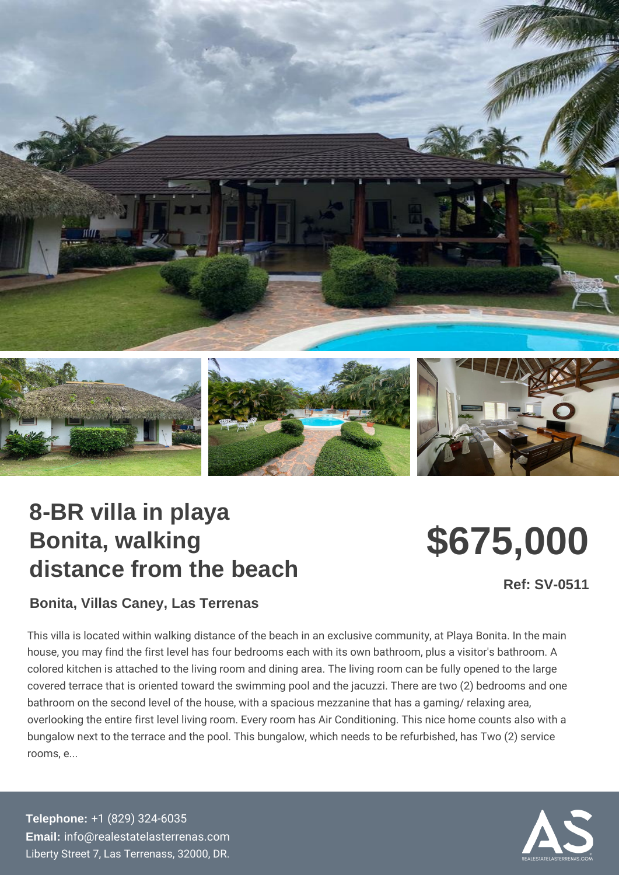## 8-BR villa in playa Bonita, walking distance from the beach

\$675,000

Ref: SV-0511

Bonita, Villas Caney, Las Terrenas

This villa is located within walking distance of the beach in an exclusive co house, you may find the first level has four bedrooms each with its own bat colored kitchen is attached to the living room and dining area. The living ro covered terrace that is oriented toward the swimming pool and the jacuzzi. bathroom on the second level of the house, with a spacious mezzanine that overlooking the entire first level living room. Every room has Air Conditioni bungalow next to the terrace and the pool. This bungalow, which needs to b rooms, e...

Telephone: [+1 \(829\) 32](tel:+1 (829) 324-6035)4-6035 Email: [info@realestatelaste](mailto:info@realestatelasterrenas.com)rrenas.com Liberty Street 7, Las Terrenass, 32000, DR.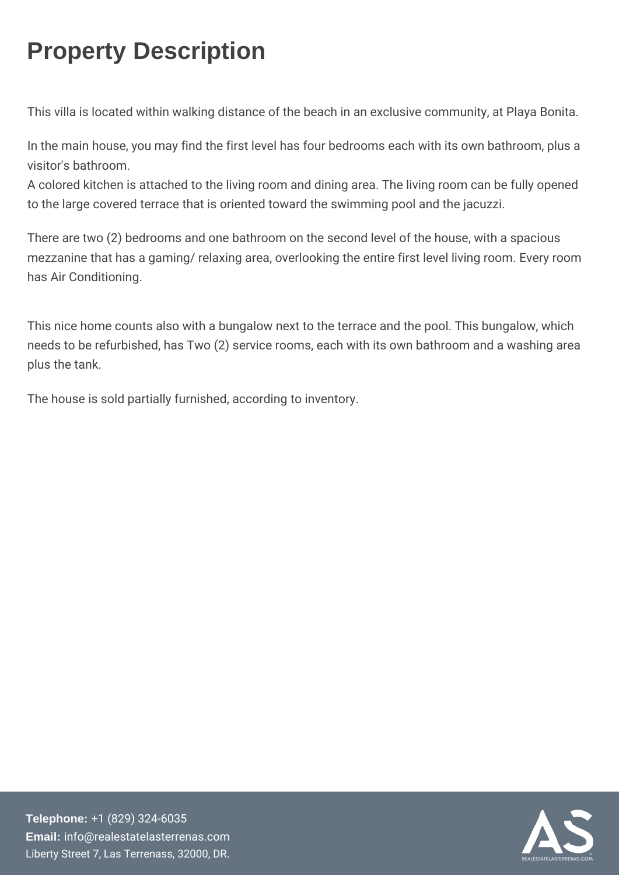## Property Description

This villa is located within walking distance of the beach in an ex

In the main house, you may find the first level has four bedrooms visitor's bathroom. A colored kitchen is attached to the living room and dining area. The living room can be fully room can be fully opened.

to the large covered terrace that is oriented toward the swimming

There are two (2) bedrooms and one bathroom on the second level mezzanine that has a gaming/ relaxing area, overlooking the entir has Air Conditioning.

This nice home counts also with a bungalow next to the terrace an needs to be refurbished, has Two  $(2)$  service rooms, each with its plus the tank.

The house is sold partially furnished, according to inventory.